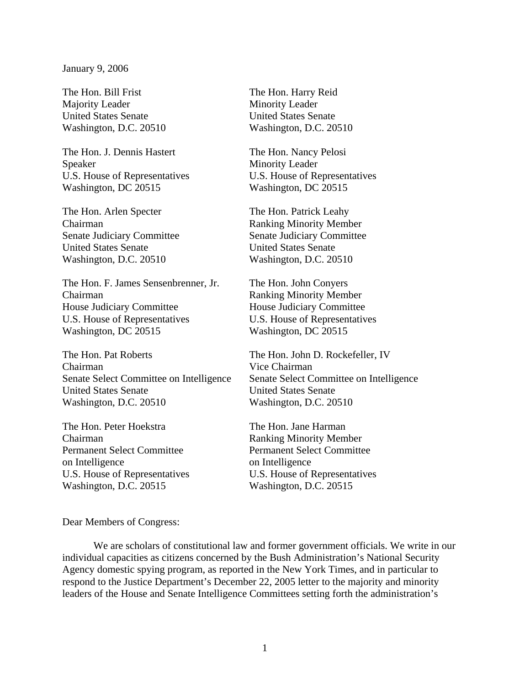#### January 9, 2006

The Hon. Bill Frist The Hon. Harry Reid Majority Leader Minority Leader United States Senate United States Senate Washington, D.C. 20510 Washington, D.C. 20510

The Hon. J. Dennis Hastert The Hon. Nancy Pelosi Speaker Minority Leader Washington, DC 20515 Washington, DC 20515

The Hon. Arlen Specter The Hon. Patrick Leahy Senate Judiciary Committee United States Senate United States Senate Washington, D.C. 20510 Washington, D.C. 20510

The Hon. F. James Sensenbrenner, Jr. The Hon. John Conyers Chairman Ranking Minority Member House Judiciary Committee House Judiciary Committee U.S. House of Representatives<br>
Washington, DC 20515<br>
Washington, DC 20515

The Hon. Pat Roberts The Hon. John D. Rockefeller, IV Chairman Vice Chairman Senate Select Committee on Intelligence Senate Select Committee on Intelligence United States Senate United States Senate Washington, D.C. 20510 Washington, D.C. 20510

The Hon. Peter Hoekstra The Hon. Jane Harman Chairman Ranking Minority Member Permanent Select Committee Permanent Select Committee on Intelligence on Intelligence U.S. House of Representatives U.S. House of Representatives Washington, D.C. 20515 Washington, D.C. 20515

U.S. House of Representatives U.S. House of Representatives

Chairman Ranking Minority Member<br>
Senate Judiciary Committee Senate Judiciary Committee

Washington, DC 20515

#### Dear Members of Congress:

We are scholars of constitutional law and former government officials. We write in our individual capacities as citizens concerned by the Bush Administration's National Security Agency domestic spying program, as reported in the New York Times, and in particular to respond to the Justice Department's December 22, 2005 letter to the majority and minority leaders of the House and Senate Intelligence Committees setting forth the administration's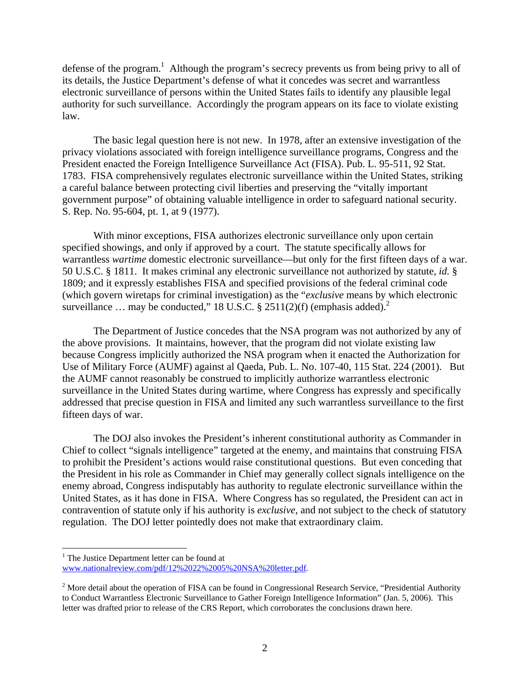defense of the program.<sup>1</sup> Although the program's secrecy prevents us from being privy to all of its details, the Justice Department's defense of what it concedes was secret and warrantless electronic surveillance of persons within the United States fails to identify any plausible legal authority for such surveillance. Accordingly the program appears on its face to violate existing law.

The basic legal question here is not new. In 1978, after an extensive investigation of the privacy violations associated with foreign intelligence surveillance programs, Congress and the President enacted the Foreign Intelligence Surveillance Act (FISA). Pub. L. 95-511, 92 Stat. 1783. FISA comprehensively regulates electronic surveillance within the United States, striking a careful balance between protecting civil liberties and preserving the "vitally important government purpose" of obtaining valuable intelligence in order to safeguard national security. S. Rep. No. 95-604, pt. 1, at 9 (1977).

With minor exceptions, FISA authorizes electronic surveillance only upon certain specified showings, and only if approved by a court. The statute specifically allows for warrantless *wartime* domestic electronic surveillance—but only for the first fifteen days of a war. 50 U.S.C. § 1811. It makes criminal any electronic surveillance not authorized by statute, *id.* § 1809; and it expressly establishes FISA and specified provisions of the federal criminal code (which govern wiretaps for criminal investigation) as the "*exclusive* means by which electronic surveillance ... may be conducted," 18 U.S.C. § 2511(2)(f) (emphasis added).<sup>2</sup>

The Department of Justice concedes that the NSA program was not authorized by any of the above provisions. It maintains, however, that the program did not violate existing law because Congress implicitly authorized the NSA program when it enacted the Authorization for Use of Military Force (AUMF) against al Qaeda, Pub. L. No. 107-40, 115 Stat. 224 (2001). But the AUMF cannot reasonably be construed to implicitly authorize warrantless electronic surveillance in the United States during wartime, where Congress has expressly and specifically addressed that precise question in FISA and limited any such warrantless surveillance to the first fifteen days of war.

The DOJ also invokes the President's inherent constitutional authority as Commander in Chief to collect "signals intelligence" targeted at the enemy, and maintains that construing FISA to prohibit the President's actions would raise constitutional questions. But even conceding that the President in his role as Commander in Chief may generally collect signals intelligence on the enemy abroad, Congress indisputably has authority to regulate electronic surveillance within the United States, as it has done in FISA. Where Congress has so regulated, the President can act in contravention of statute only if his authority is *exclusive*, and not subject to the check of statutory regulation. The DOJ letter pointedly does not make that extraordinary claim.

 $\overline{a}$ 

<sup>&</sup>lt;sup>1</sup> The Justice Department letter can be found at

www.nationalreview.com/pdf/12%2022%2005%20NSA%20letter.pdf.

<sup>&</sup>lt;sup>2</sup> More detail about the operation of FISA can be found in Congressional Research Service, "Presidential Authority to Conduct Warrantless Electronic Surveillance to Gather Foreign Intelligence Information" (Jan. 5, 2006). This letter was drafted prior to release of the CRS Report, which corroborates the conclusions drawn here.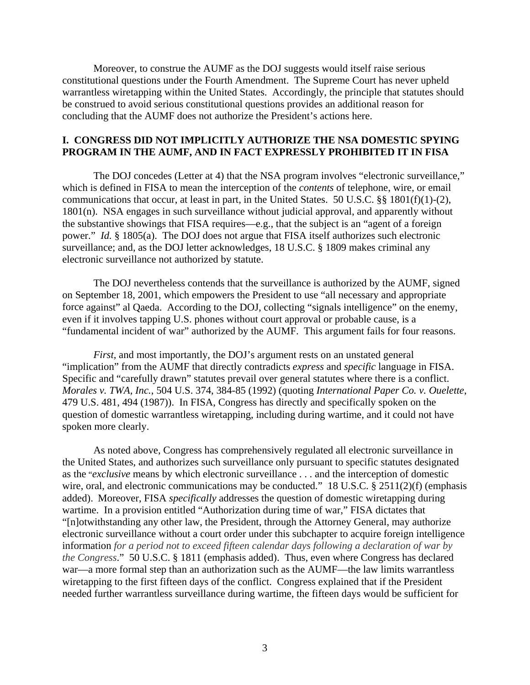Moreover, to construe the AUMF as the DOJ suggests would itself raise serious constitutional questions under the Fourth Amendment. The Supreme Court has never upheld warrantless wiretapping within the United States. Accordingly, the principle that statutes should be construed to avoid serious constitutional questions provides an additional reason for concluding that the AUMF does not authorize the President's actions here.

## **I. CONGRESS DID NOT IMPLICITLY AUTHORIZE THE NSA DOMESTIC SPYING PROGRAM IN THE AUMF, AND IN FACT EXPRESSLY PROHIBITED IT IN FISA**

The DOJ concedes (Letter at 4) that the NSA program involves "electronic surveillance," which is defined in FISA to mean the interception of the *contents* of telephone, wire, or email communications that occur, at least in part, in the United States. 50 U.S.C. §§ 1801(f)(1)-(2), 1801(n). NSA engages in such surveillance without judicial approval, and apparently without the substantive showings that FISA requires—e.g., that the subject is an "agent of a foreign power." *Id.* § 1805(a). The DOJ does not argue that FISA itself authorizes such electronic surveillance; and, as the DOJ letter acknowledges, 18 U.S.C. § 1809 makes criminal any electronic surveillance not authorized by statute.

The DOJ nevertheless contends that the surveillance is authorized by the AUMF, signed on September 18, 2001, which empowers the President to use "all necessary and appropriate force against" al Qaeda. According to the DOJ, collecting "signals intelligence" on the enemy, even if it involves tapping U.S. phones without court approval or probable cause, is a "fundamental incident of war" authorized by the AUMF. This argument fails for four reasons.

*First*, and most importantly, the DOJ's argument rests on an unstated general "implication" from the AUMF that directly contradicts *express* and *specific* language in FISA. Specific and "carefully drawn" statutes prevail over general statutes where there is a conflict. *Morales v. TWA, Inc.*, 504 U.S. 374, 384-85 (1992) (quoting *International Paper Co. v. Ouelette*, 479 U.S. 481, 494 (1987)). In FISA, Congress has directly and specifically spoken on the question of domestic warrantless wiretapping, including during wartime, and it could not have spoken more clearly.

As noted above, Congress has comprehensively regulated all electronic surveillance in the United States, and authorizes such surveillance only pursuant to specific statutes designated as the "*exclusive* means by which electronic surveillance . . . and the interception of domestic wire, oral, and electronic communications may be conducted." 18 U.S.C. § 2511(2)(f) (emphasis added). Moreover, FISA *specifically* addresses the question of domestic wiretapping during wartime. In a provision entitled "Authorization during time of war," FISA dictates that "[n]otwithstanding any other law, the President, through the Attorney General, may authorize electronic surveillance without a court order under this subchapter to acquire foreign intelligence information *for a period not to exceed fifteen calendar days following a declaration of war by the Congress*." 50 U.S.C. § 1811 (emphasis added). Thus, even where Congress has declared war—a more formal step than an authorization such as the AUMF—the law limits warrantless wiretapping to the first fifteen days of the conflict. Congress explained that if the President needed further warrantless surveillance during wartime, the fifteen days would be sufficient for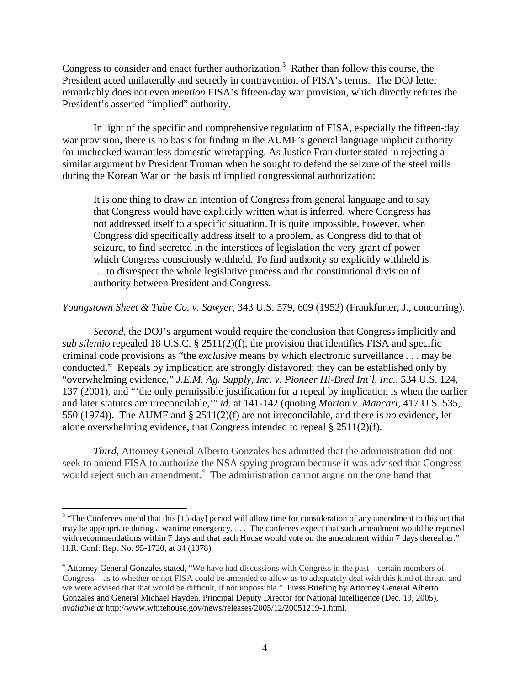Congress to consider and enact further authorization.<sup>3</sup> Rather than follow this course, the President acted unilaterally and secretly in contravention of FISA's terms. The DOJ letter remarkably does not even *mention* FISA's fifteen-day war provision, which directly refutes the President's asserted "implied" authority.

In light of the specific and comprehensive regulation of FISA, especially the fifteen-day war provision, there is no basis for finding in the AUMF's general language implicit authority for unchecked warrantless domestic wiretapping. As Justice Frankfurter stated in rejecting a similar argument by President Truman when he sought to defend the seizure of the steel mills during the Korean War on the basis of implied congressional authorization:

It is one thing to draw an intention of Congress from general language and to say that Congress would have explicitly written what is inferred, where Congress has not addressed itself to a specific situation. It is quite impossible, however, when Congress did specifically address itself to a problem, as Congress did to that of seizure, to find secreted in the interstices of legislation the very grant of power which Congress consciously withheld. To find authority so explicitly withheld is … to disrespect the whole legislative process and the constitutional division of authority between President and Congress.

*Youngstown Sheet & Tube Co. v. Sawyer*, 343 U.S. 579, 609 (1952) (Frankfurter, J., concurring).

*Second*, the DOJ's argument would require the conclusion that Congress implicitly and *sub silentio* repealed 18 U.S.C. § 2511(2)(f), the provision that identifies FISA and specific criminal code provisions as "the *exclusive* means by which electronic surveillance . . . may be conducted." Repeals by implication are strongly disfavored; they can be established only by "overwhelming evidence," *J.E.M. Ag. Supply, Inc. v. Pioneer Hi-Bred Int'l, Inc.*, 534 U.S. 124, 137 (2001), and "'the only permissible justification for a repeal by implication is when the earlier and later statutes are irreconcilable,'" *id.* at 141-142 (quoting *Morton v. Mancari*, 417 U.S. 535, 550 (1974)). The AUMF and § 2511(2)(f) are not irreconcilable, and there is *no* evidence, let alone overwhelming evidence, that Congress intended to repeal § 2511(2)(f).

*Third,* Attorney General Alberto Gonzales has admitted that the administration did not seek to amend FISA to authorize the NSA spying program because it was advised that Congress would reject such an amendment.<sup>4</sup> The administration cannot argue on the one hand that

 $\overline{a}$ 

 $3$  "The Conferees intend that this [15-day] period will allow time for consideration of any amendment to this act that may be appropriate during a wartime emergency. . . . The conferees expect that such amendment would be reported with recommendations within 7 days and that each House would vote on the amendment within 7 days thereafter." H.R. Conf. Rep. No. 95-1720, at 34 (1978).

<sup>&</sup>lt;sup>4</sup> Attorney General Gonzales stated, "We have had discussions with Congress in the past—certain members of Congress—as to whether or not FISA could be amended to allow us to adequately deal with this kind of threat, and we were advised that that would be difficult, if not impossible." Press Briefing by Attorney General Alberto Gonzales and General Michael Hayden, Principal Deputy Director for National Intelligence (Dec. 19, 2005), *available at* http://www.whitehouse.gov/news/releases/2005/12/20051219-1.html.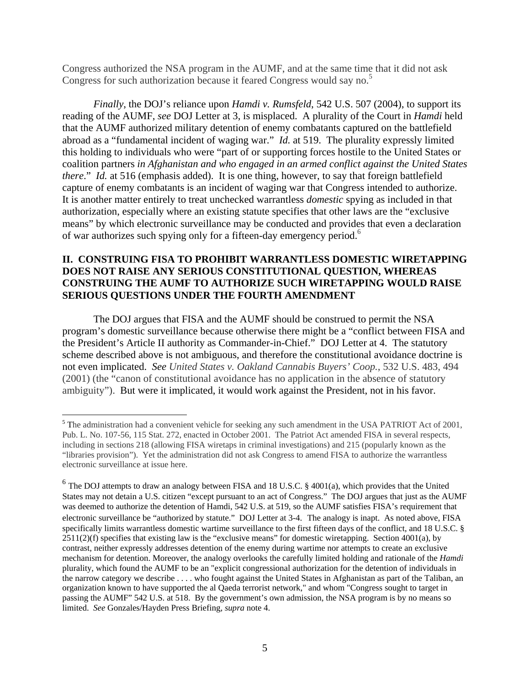Congress authorized the NSA program in the AUMF, and at the same time that it did not ask Congress for such authorization because it feared Congress would say no.<sup>5</sup>

*Finally*, the DOJ's reliance upon *Hamdi v. Rumsfeld*, 542 U.S. 507 (2004), to support its reading of the AUMF, *see* DOJ Letter at 3, is misplaced. A plurality of the Court in *Hamdi* held that the AUMF authorized military detention of enemy combatants captured on the battlefield abroad as a "fundamental incident of waging war." *Id.* at 519. The plurality expressly limited this holding to individuals who were "part of or supporting forces hostile to the United States or coalition partners *in Afghanistan and who engaged in an armed conflict against the United States there*." *Id.* at 516 (emphasis added). It is one thing, however, to say that foreign battlefield capture of enemy combatants is an incident of waging war that Congress intended to authorize. It is another matter entirely to treat unchecked warrantless *domestic* spying as included in that authorization, especially where an existing statute specifies that other laws are the "exclusive means" by which electronic surveillance may be conducted and provides that even a declaration of war authorizes such spying only for a fifteen-day emergency period.<sup>6</sup>

# **II. CONSTRUING FISA TO PROHIBIT WARRANTLESS DOMESTIC WIRETAPPING DOES NOT RAISE ANY SERIOUS CONSTITUTIONAL QUESTION, WHEREAS CONSTRUING THE AUMF TO AUTHORIZE SUCH WIRETAPPING WOULD RAISE SERIOUS QUESTIONS UNDER THE FOURTH AMENDMENT**

 The DOJ argues that FISA and the AUMF should be construed to permit the NSA program's domestic surveillance because otherwise there might be a "conflict between FISA and the President's Article II authority as Commander-in-Chief." DOJ Letter at 4. The statutory scheme described above is not ambiguous, and therefore the constitutional avoidance doctrine is not even implicated. *See United States v. Oakland Cannabis Buyers' Coop.*, 532 U.S. 483, 494 (2001) (the "canon of constitutional avoidance has no application in the absence of statutory ambiguity"). But were it implicated, it would work against the President, not in his favor.

<sup>&</sup>lt;sup>5</sup>The administration had a convenient vehicle for seeking any such amendment in the USA PATRIOT Act of 2001, Pub. L. No. 107-56, 115 Stat. 272, enacted in October 2001. The Patriot Act amended FISA in several respects, including in sections 218 (allowing FISA wiretaps in criminal investigations) and 215 (popularly known as the "libraries provision"). Yet the administration did not ask Congress to amend FISA to authorize the warrantless electronic surveillance at issue here.

 $6$  The DOJ attempts to draw an analogy between FISA and 18 U.S.C. § 4001(a), which provides that the United States may not detain a U.S. citizen "except pursuant to an act of Congress." The DOJ argues that just as the AUMF was deemed to authorize the detention of Hamdi, 542 U.S. at 519, so the AUMF satisfies FISA's requirement that electronic surveillance be "authorized by statute." DOJ Letter at 3-4. The analogy is inapt. As noted above, FISA specifically limits warrantless domestic wartime surveillance to the first fifteen days of the conflict, and 18 U.S.C. §  $2511(2)(f)$  specifies that existing law is the "exclusive means" for domestic wiretapping. Section 4001(a), by contrast, neither expressly addresses detention of the enemy during wartime nor attempts to create an exclusive mechanism for detention. Moreover, the analogy overlooks the carefully limited holding and rationale of the *Hamdi* plurality, which found the AUMF to be an "explicit congressional authorization for the detention of individuals in the narrow category we describe . . . . who fought against the United States in Afghanistan as part of the Taliban, an organization known to have supported the al Qaeda terrorist network," and whom "Congress sought to target in passing the AUMF" 542 U.S. at 518. By the government's own admission, the NSA program is by no means so limited. *See* Gonzales/Hayden Press Briefing, *supra* note 4.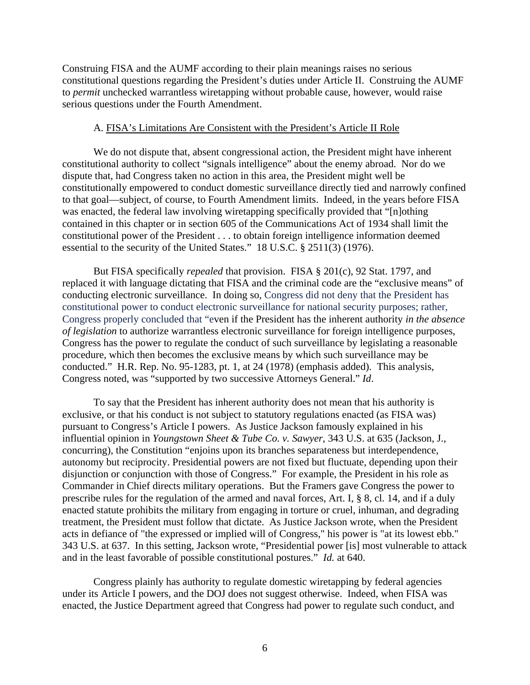Construing FISA and the AUMF according to their plain meanings raises no serious constitutional questions regarding the President's duties under Article II. Construing the AUMF to *permit* unchecked warrantless wiretapping without probable cause, however, would raise serious questions under the Fourth Amendment.

### A. FISA's Limitations Are Consistent with the President's Article II Role

We do not dispute that, absent congressional action, the President might have inherent constitutional authority to collect "signals intelligence" about the enemy abroad. Nor do we dispute that, had Congress taken no action in this area, the President might well be constitutionally empowered to conduct domestic surveillance directly tied and narrowly confined to that goal—subject, of course, to Fourth Amendment limits. Indeed, in the years before FISA was enacted, the federal law involving wiretapping specifically provided that "[n]othing contained in this chapter or in section 605 of the Communications Act of 1934 shall limit the constitutional power of the President . . . to obtain foreign intelligence information deemed essential to the security of the United States." 18 U.S.C. § 2511(3) (1976).

But FISA specifically *repealed* that provision. FISA § 201(c), 92 Stat. 1797, and replaced it with language dictating that FISA and the criminal code are the "exclusive means" of conducting electronic surveillance. In doing so, Congress did not deny that the President has constitutional power to conduct electronic surveillance for national security purposes; rather, Congress properly concluded that "even if the President has the inherent authority *in the absence of legislation* to authorize warrantless electronic surveillance for foreign intelligence purposes, Congress has the power to regulate the conduct of such surveillance by legislating a reasonable procedure, which then becomes the exclusive means by which such surveillance may be conducted." H.R. Rep. No. 95-1283, pt. 1, at 24 (1978) (emphasis added). This analysis, Congress noted, was "supported by two successive Attorneys General." *Id*.

To say that the President has inherent authority does not mean that his authority is exclusive, or that his conduct is not subject to statutory regulations enacted (as FISA was) pursuant to Congress's Article I powers. As Justice Jackson famously explained in his influential opinion in *Youngstown Sheet & Tube Co. v. Sawyer*, 343 U.S. at 635 (Jackson, J., concurring), the Constitution "enjoins upon its branches separateness but interdependence, autonomy but reciprocity. Presidential powers are not fixed but fluctuate, depending upon their disjunction or conjunction with those of Congress." For example, the President in his role as Commander in Chief directs military operations. But the Framers gave Congress the power to prescribe rules for the regulation of the armed and naval forces, Art. I, § 8, cl. 14, and if a duly enacted statute prohibits the military from engaging in torture or cruel, inhuman, and degrading treatment, the President must follow that dictate.As Justice Jackson wrote, when the President acts in defiance of "the expressed or implied will of Congress," his power is "at its lowest ebb." 343 U.S. at 637. In this setting, Jackson wrote, "Presidential power [is] most vulnerable to attack and in the least favorable of possible constitutional postures." *Id.* at 640.

Congress plainly has authority to regulate domestic wiretapping by federal agencies under its Article I powers, and the DOJ does not suggest otherwise. Indeed, when FISA was enacted, the Justice Department agreed that Congress had power to regulate such conduct, and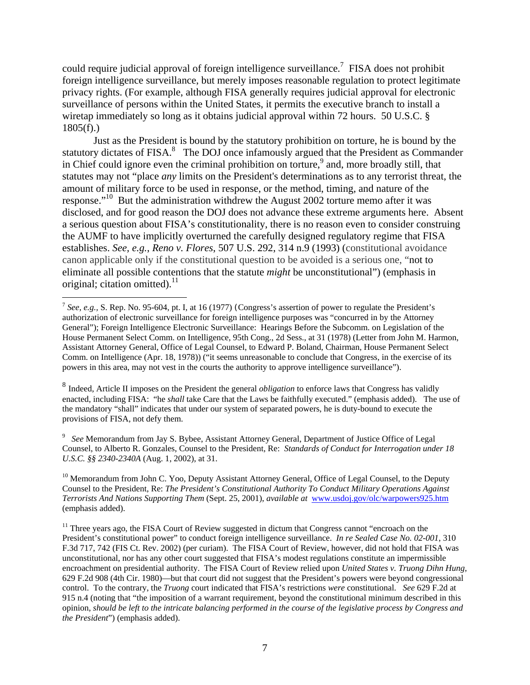could require judicial approval of foreign intelligence surveillance.<sup>7</sup> FISA does not prohibit foreign intelligence surveillance, but merely imposes reasonable regulation to protect legitimate privacy rights. (For example, although FISA generally requires judicial approval for electronic surveillance of persons within the United States, it permits the executive branch to install a wiretap immediately so long as it obtains judicial approval within 72 hours. 50 U.S.C. § 1805(f).)<br>Just as the President is bound by the statutory prohibition on torture, he is bound by the

statutory dictates of FISA.<sup>8</sup> The DOJ once infamously argued that the President as Commander in Chief could ignore even the criminal prohibition on torture,<sup>9</sup> and, more broadly still, that statutes may not "place *any* limits on the President's determinations as to any terrorist threat, the amount of military force to be used in response, or the method, timing, and nature of the response."10 But the administration withdrew the August 2002 torture memo after it was disclosed, and for good reason the DOJ does not advance these extreme arguments here. Absent a serious question about FISA's constitutionality, there is no reason even to consider construing the AUMF to have implicitly overturned the carefully designed regulatory regime that FISA establishes. *See, e.g.*, *Reno v. Flores*, 507 U.S. 292, 314 n.9 (1993) (constitutional avoidance canon applicable only if the constitutional question to be avoided is a serious one, "not to eliminate all possible contentions that the statute *might* be unconstitutional") (emphasis in original; citation omitted).<sup>11</sup>

 $\overline{a}$ 

<sup>8</sup> Indeed, Article II imposes on the President the general *obligation* to enforce laws that Congress has validly enacted, including FISA: "he *shall* take Care that the Laws be faithfully executed." (emphasis added). The use of the mandatory "shall" indicates that under our system of separated powers, he is duty-bound to execute the provisions of FISA, not defy them.

9 *See* Memorandum from Jay S. Bybee, Assistant Attorney General, Department of Justice Office of Legal Counsel, to Alberto R. Gonzales, Counsel to the President, Re: *Standards of Conduct for Interrogation under 18 U.S.C. §§ 2340-2340A* (Aug. 1, 2002), at 31.

<sup>10</sup> Memorandum from John C. Yoo, Deputy Assistant Attorney General, Office of Legal Counsel, to the Deputy Counsel to the President, Re: *The President's Constitutional Authority To Conduct Military Operations Against Terrorists And Nations Supporting Them* (Sept. 25, 2001), *available at* www.usdoj.gov/olc/warpowers925.htm (emphasis added).

 $11$  Three years ago, the FISA Court of Review suggested in dictum that Congress cannot "encroach on the President's constitutional power" to conduct foreign intelligence surveillance. *In re Sealed Case No. 02-001*, 310 F.3d 717, 742 (FIS Ct. Rev. 2002) (per curiam). The FISA Court of Review, however, did not hold that FISA was unconstitutional, nor has any other court suggested that FISA's modest regulations constitute an impermissible encroachment on presidential authority. The FISA Court of Review relied upon *United States v. Truong Dihn Hung*, 629 F.2d 908 (4th Cir. 1980)—but that court did not suggest that the President's powers were beyond congressional control. To the contrary, the *Truong* court indicated that FISA's restrictions *were* constitutional. *See* 629 F.2d at 915 n.4 (noting that "the imposition of a warrant requirement, beyond the constitutional minimum described in this opinion, *should be left to the intricate balancing performed in the course of the legislative process by Congress and the President*") (emphasis added).

<sup>7</sup> *See, e.g.,* S. Rep. No. 95-604, pt. I, at 16 (1977) (Congress's assertion of power to regulate the President's authorization of electronic surveillance for foreign intelligence purposes was "concurred in by the Attorney General"); Foreign Intelligence Electronic Surveillance: Hearings Before the Subcomm. on Legislation of the House Permanent Select Comm. on Intelligence, 95th Cong., 2d Sess., at 31 (1978) (Letter from John M. Harmon, Assistant Attorney General, Office of Legal Counsel, to Edward P. Boland, Chairman, House Permanent Select Comm. on Intelligence (Apr. 18, 1978)) ("it seems unreasonable to conclude that Congress, in the exercise of its powers in this area, may not vest in the courts the authority to approve intelligence surveillance").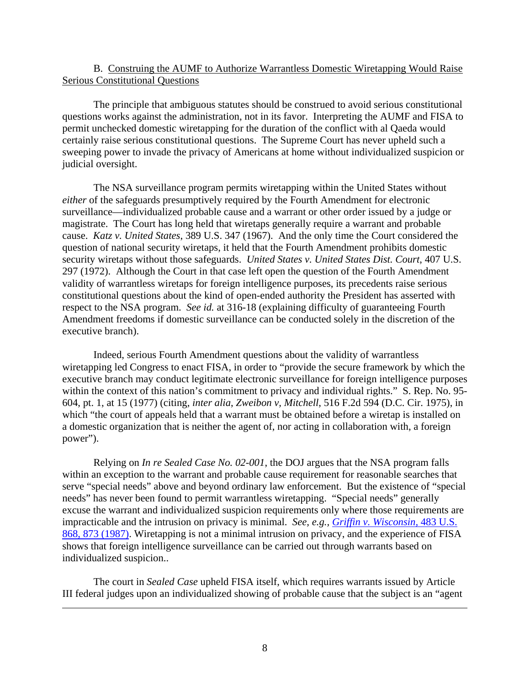# B. Construing the AUMF to Authorize Warrantless Domestic Wiretapping Would Raise Serious Constitutional Questions

The principle that ambiguous statutes should be construed to avoid serious constitutional questions works against the administration, not in its favor. Interpreting the AUMF and FISA to permit unchecked domestic wiretapping for the duration of the conflict with al Qaeda would certainly raise serious constitutional questions. The Supreme Court has never upheld such a sweeping power to invade the privacy of Americans at home without individualized suspicion or judicial oversight.

The NSA surveillance program permits wiretapping within the United States without *either* of the safeguards presumptively required by the Fourth Amendment for electronic surveillance—individualized probable cause and a warrant or other order issued by a judge or magistrate. The Court has long held that wiretaps generally require a warrant and probable cause. *Katz v. United States*, 389 U.S. 347 (1967). And the only time the Court considered the question of national security wiretaps, it held that the Fourth Amendment prohibits domestic security wiretaps without those safeguards. *United States v. United States Dist. Court*, 407 U.S. 297 (1972). Although the Court in that case left open the question of the Fourth Amendment validity of warrantless wiretaps for foreign intelligence purposes, its precedents raise serious constitutional questions about the kind of open-ended authority the President has asserted with respect to the NSA program. *See id.* at 316-18 (explaining difficulty of guaranteeing Fourth Amendment freedoms if domestic surveillance can be conducted solely in the discretion of the executive branch).

Indeed, serious Fourth Amendment questions about the validity of warrantless wiretapping led Congress to enact FISA, in order to "provide the secure framework by which the executive branch may conduct legitimate electronic surveillance for foreign intelligence purposes within the context of this nation's commitment to privacy and individual rights." S. Rep. No. 95-604, pt. 1, at 15 (1977) (citing, *inter alia*, *Zweibon v, Mitchell*, 516 F.2d 594 (D.C. Cir. 1975), in which "the court of appeals held that a warrant must be obtained before a wiretap is installed on a domestic organization that is neither the agent of, nor acting in collaboration with, a foreign power").

Relying on *In re Sealed Case No. 02-001*, the DOJ argues that the NSA program falls within an exception to the warrant and probable cause requirement for reasonable searches that serve "special needs" above and beyond ordinary law enforcement. But the existence of "special needs" has never been found to permit warrantless wiretapping. "Special needs" generally excuse the warrant and individualized suspicion requirements only where those requirements are impracticable and the intrusion on privacy is minimal. *See, e.g., Griffin v. Wisconsin,* 483 U.S. 868, 873 (1987). Wiretapping is not a minimal intrusion on privacy, and the experience of FISA shows that foreign intelligence surveillance can be carried out through warrants based on individualized suspicion..

The court in *Sealed Case* upheld FISA itself, which requires warrants issued by Article III federal judges upon an individualized showing of probable cause that the subject is an "agent

<u>.</u>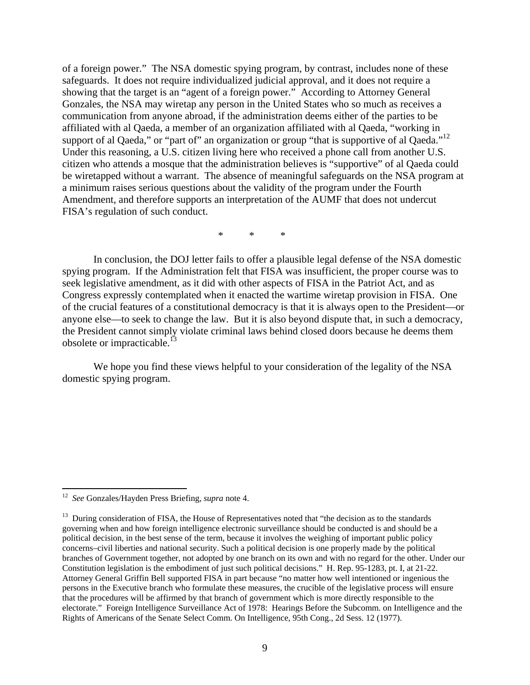of a foreign power." The NSA domestic spying program, by contrast, includes none of these safeguards. It does not require individualized judicial approval, and it does not require a showing that the target is an "agent of a foreign power." According to Attorney General Gonzales, the NSA may wiretap any person in the United States who so much as receives a communication from anyone abroad, if the administration deems either of the parties to be affiliated with al Qaeda, a member of an organization affiliated with al Qaeda, "working in support of al Qaeda," or "part of" an organization or group "that is supportive of al Qaeda."<sup>12</sup> Under this reasoning, a U.S. citizen living here who received a phone call from another U.S. citizen who attends a mosque that the administration believes is "supportive" of al Qaeda could be wiretapped without a warrant. The absence of meaningful safeguards on the NSA program at a minimum raises serious questions about the validity of the program under the Fourth Amendment, and therefore supports an interpretation of the AUMF that does not undercut FISA's regulation of such conduct.

 $\mathbb{R}$   $\mathbb{R}$   $\mathbb{R}$   $\mathbb{R}$   $\mathbb{R}$   $\mathbb{R}$   $\mathbb{R}$   $\mathbb{R}$   $\mathbb{R}$   $\mathbb{R}$   $\mathbb{R}$   $\mathbb{R}$   $\mathbb{R}$   $\mathbb{R}$   $\mathbb{R}$   $\mathbb{R}$   $\mathbb{R}$   $\mathbb{R}$   $\mathbb{R}$   $\mathbb{R}$   $\mathbb{R}$   $\mathbb{R}$   $\mathbb{R}$   $\mathbb{R}$   $\mathbb{$ 

In conclusion, the DOJ letter fails to offer a plausible legal defense of the NSA domestic spying program. If the Administration felt that FISA was insufficient, the proper course was to seek legislative amendment, as it did with other aspects of FISA in the Patriot Act, and as Congress expressly contemplated when it enacted the wartime wiretap provision in FISA. One of the crucial features of a constitutional democracy is that it is always open to the President—or anyone else—to seek to change the law. But it is also beyond dispute that, in such a democracy, the President cannot simply violate criminal laws behind closed doors because he deems them obsolete or impracticable.13

We hope you find these views helpful to your consideration of the legality of the NSA domestic spying program.

 $\overline{a}$ 

<sup>12</sup> *See* Gonzales/Hayden Press Briefing, *supra* note 4.

 $13$  During consideration of FISA, the House of Representatives noted that "the decision as to the standards" governing when and how foreign intelligence electronic surveillance should be conducted is and should be a political decision, in the best sense of the term, because it involves the weighing of important public policy concerns–civil liberties and national security. Such a political decision is one properly made by the political branches of Government together, not adopted by one branch on its own and with no regard for the other. Under our Constitution legislation is the embodiment of just such political decisions." H. Rep. 95-1283, pt. I, at 21-22. Attorney General Griffin Bell supported FISA in part because "no matter how well intentioned or ingenious the persons in the Executive branch who formulate these measures, the crucible of the legislative process will ensure that the procedures will be affirmed by that branch of government which is more directly responsible to the electorate." Foreign Intelligence Surveillance Act of 1978: Hearings Before the Subcomm. on Intelligence and the Rights of Americans of the Senate Select Comm. On Intelligence, 95th Cong., 2d Sess. 12 (1977).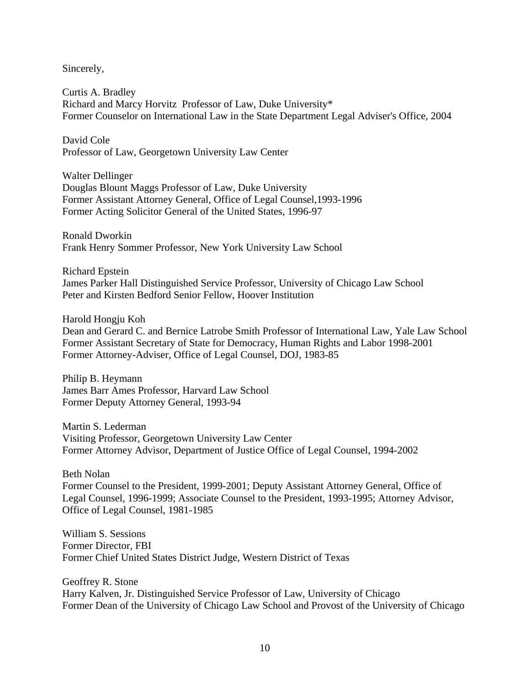Sincerely,

Curtis A. Bradley Richard and Marcy Horvitz Professor of Law, Duke University\* Former Counselor on International Law in the State Department Legal Adviser's Office, 2004

David Cole Professor of Law, Georgetown University Law Center

Walter Dellinger Douglas Blount Maggs Professor of Law, Duke University Former Assistant Attorney General, Office of Legal Counsel,1993-1996 Former Acting Solicitor General of the United States, 1996-97

Ronald Dworkin Frank Henry Sommer Professor, New York University Law School

Richard Epstein James Parker Hall Distinguished Service Professor, University of Chicago Law School Peter and Kirsten Bedford Senior Fellow, Hoover Institution

Harold Hongju Koh Dean and Gerard C. and Bernice Latrobe Smith Professor of International Law, Yale Law School Former Assistant Secretary of State for Democracy, Human Rights and Labor 1998-2001 Former Attorney-Adviser, Office of Legal Counsel, DOJ, 1983-85

Philip B. Heymann James Barr Ames Professor, Harvard Law School Former Deputy Attorney General, 1993-94

Martin S. Lederman Visiting Professor, Georgetown University Law Center Former Attorney Advisor, Department of Justice Office of Legal Counsel, 1994-2002

Beth Nolan Former Counsel to the President, 1999-2001; Deputy Assistant Attorney General, Office of Legal Counsel, 1996-1999; Associate Counsel to the President, 1993-1995; Attorney Advisor, Office of Legal Counsel, 1981-1985

William S. Sessions Former Director, FBI Former Chief United States District Judge, Western District of Texas

Geoffrey R. Stone Harry Kalven, Jr. Distinguished Service Professor of Law, University of Chicago Former Dean of the University of Chicago Law School and Provost of the University of Chicago